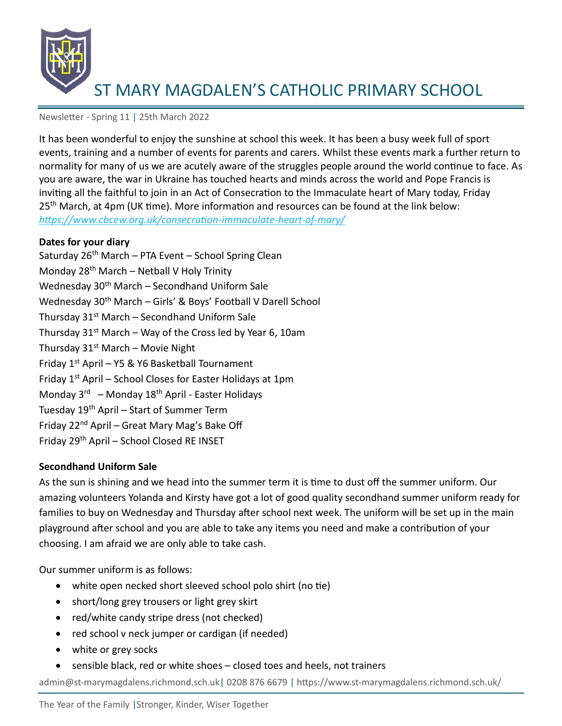

Newsletter - Spring 11 | 25th March 2022

It has been wonderful to enjoy the sunshine at school this week. It has been a busy week full of sport events, training and a number of events for parents and carers. Whilst these events mark a further return to normality for many of us we are acutely aware of the struggles people around the world continue to face. As you are aware, the war in Ukraine has touched hearts and minds across the world and Pope Francis is inviting all the faithful to join in an Act of Consecration to the Immaculate heart of Mary today, Friday 25<sup>th</sup> March, at 4pm (UK time). More information and resources can be found at the link below: *<https://www.cbcew.org.uk/consecration-immaculate-heart-of-mary/>*

#### **Dates for your diary**

Saturday  $26<sup>th</sup>$  March – PTA Event – School Spring Clean Monday 28<sup>th</sup> March – Netball V Holy Trinity Wednesday 30<sup>th</sup> March – Secondhand Uniform Sale Wednesday 30th March – Girls' & Boys' Football V Darell School Thursday  $31<sup>st</sup>$  March – Secondhand Uniform Sale Thursday  $31<sup>st</sup>$  March – Way of the Cross led by Year 6, 10am Thursday  $31<sup>st</sup>$  March – Movie Night Friday  $1^{st}$  April – Y5 & Y6 Basketball Tournament Friday  $1<sup>st</sup>$  April – School Closes for Easter Holidays at 1pm Monday 3<sup>rd</sup> – Monday 18<sup>th</sup> April - Easter Holidays Tuesday 19th April – Start of Summer Term Friday 22<sup>nd</sup> April – Great Mary Mag's Bake Off Friday 29<sup>th</sup> April - School Closed RE INSET

### **Secondhand Uniform Sale**

As the sun is shining and we head into the summer term it is time to dust off the summer uniform. Our amazing volunteers Yolanda and Kirsty have got a lot of good quality secondhand summer uniform ready for families to buy on Wednesday and Thursday after school next week. The uniform will be set up in the main playground after school and you are able to take any items you need and make a contribution of your choosing. I am afraid we are only able to take cash.

Our summer uniform is as follows:

- white open necked short sleeved school polo shirt (no tie)
- short/long grey trousers or light grey skirt
- red/white candy stripe dress (not checked)
- red school v neck jumper or cardigan (if needed)
- white or grey socks
- sensible black, red or white shoes closed toes and heels, not trainers

admin@st-marymagdalens.richmond.sch.uk| 0208 876 6679 | https://www.st-marymagdalens.richmond.sch.uk/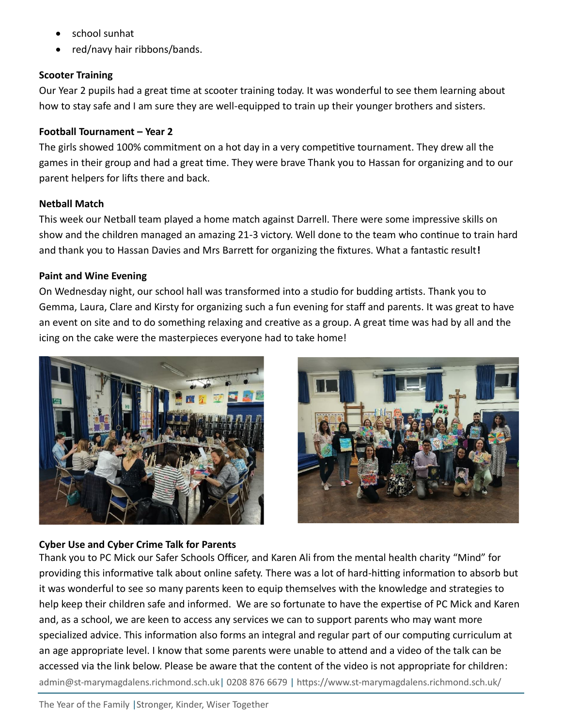- school sunhat
- red/navy hair ribbons/bands.

### **Scooter Training**

Our Year 2 pupils had a great time at scooter training today. It was wonderful to see them learning about how to stay safe and I am sure they are well-equipped to train up their younger brothers and sisters.

### **Football Tournament – Year 2**

The girls showed 100% commitment on a hot day in a very competitive tournament. They drew all the games in their group and had a great time. They were brave Thank you to Hassan for organizing and to our parent helpers for lifts there and back.

## **Netball Match**

This week our Netball team played a home match against Darrell. There were some impressive skills on show and the children managed an amazing 21-3 victory. Well done to the team who continue to train hard and thank you to Hassan Davies and Mrs Barrett for organizing the fixtures. What a fantastic result**!**

## **Paint and Wine Evening**

On Wednesday night, our school hall was transformed into a studio for budding artists. Thank you to Gemma, Laura, Clare and Kirsty for organizing such a fun evening for staff and parents. It was great to have an event on site and to do something relaxing and creative as a group. A great time was had by all and the icing on the cake were the masterpieces everyone had to take home!





# **Cyber Use and Cyber Crime Talk for Parents**

admin@st-marymagdalens.richmond.sch.uk| 0208 876 6679 | https://www.st-marymagdalens.richmond.sch.uk/ Thank you to PC Mick our Safer Schools Officer, and Karen Ali from the mental health charity "Mind" for providing this informative talk about online safety. There was a lot of hard-hitting information to absorb but it was wonderful to see so many parents keen to equip themselves with the knowledge and strategies to help keep their children safe and informed. We are so fortunate to have the expertise of PC Mick and Karen and, as a school, we are keen to access any services we can to support parents who may want more specialized advice. This information also forms an integral and regular part of our computing curriculum at an age appropriate level. I know that some parents were unable to attend and a video of the talk can be accessed via the link below. Please be aware that the content of the video is not appropriate for children: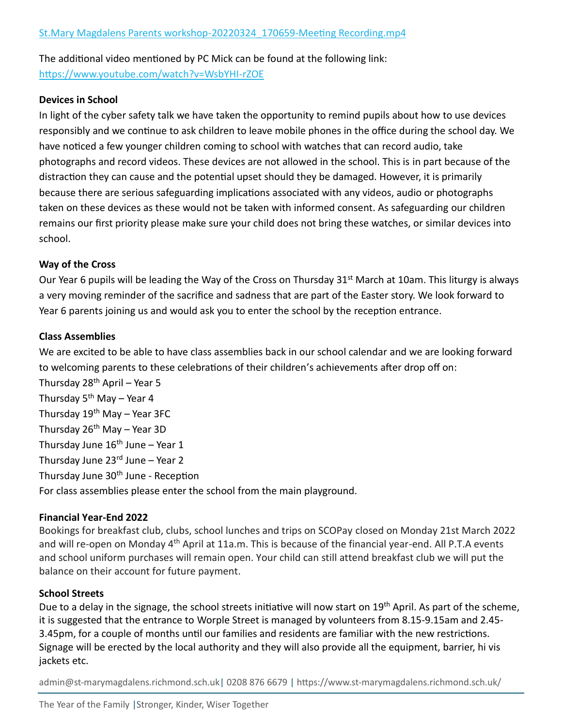The additional video mentioned by PC Mick can be found at the following link: <https://www.youtube.com/watch?v=WsbYHI-rZOE>

### **Devices in School**

In light of the cyber safety talk we have taken the opportunity to remind pupils about how to use devices responsibly and we continue to ask children to leave mobile phones in the office during the school day. We have noticed a few younger children coming to school with watches that can record audio, take photographs and record videos. These devices are not allowed in the school. This is in part because of the distraction they can cause and the potential upset should they be damaged. However, it is primarily because there are serious safeguarding implications associated with any videos, audio or photographs taken on these devices as these would not be taken with informed consent. As safeguarding our children remains our first priority please make sure your child does not bring these watches, or similar devices into school.

### **Way of the Cross**

Our Year 6 pupils will be leading the Way of the Cross on Thursday  $31^{st}$  March at 10am. This liturgy is always a very moving reminder of the sacrifice and sadness that are part of the Easter story. We look forward to Year 6 parents joining us and would ask you to enter the school by the reception entrance.

### **Class Assemblies**

We are excited to be able to have class assemblies back in our school calendar and we are looking forward to welcoming parents to these celebrations of their children's achievements after drop off on:

Thursday  $28<sup>th</sup>$  April – Year 5 Thursday  $5<sup>th</sup>$  May – Year 4 Thursday  $19<sup>th</sup>$  May – Year 3FC Thursday 26<sup>th</sup> May – Year 3D Thursday June  $16<sup>th</sup>$  June – Year 1 Thursday June  $23<sup>rd</sup>$  June – Year 2 Thursday June 30<sup>th</sup> June - Reception For class assemblies please enter the school from the main playground.

### **Financial Year-End 2022**

Bookings for breakfast club, clubs, school lunches and trips on SCOPay closed on Monday 21st March 2022 and will re-open on Monday 4<sup>th</sup> April at 11a.m. This is because of the financial year-end. All P.T.A events and school uniform purchases will remain open. Your child can still attend breakfast club we will put the balance on their account for future payment.

### **School Streets**

Due to a delay in the signage, the school streets initiative will now start on 19<sup>th</sup> April. As part of the scheme, it is suggested that the entrance to Worple Street is managed by volunteers from 8.15-9.15am and 2.45- 3.45pm, for a couple of months until our families and residents are familiar with the new restrictions. Signage will be erected by the local authority and they will also provide all the equipment, barrier, hi vis jackets etc.

admin@st-marymagdalens.richmond.sch.uk| 0208 876 6679 | https://www.st-marymagdalens.richmond.sch.uk/